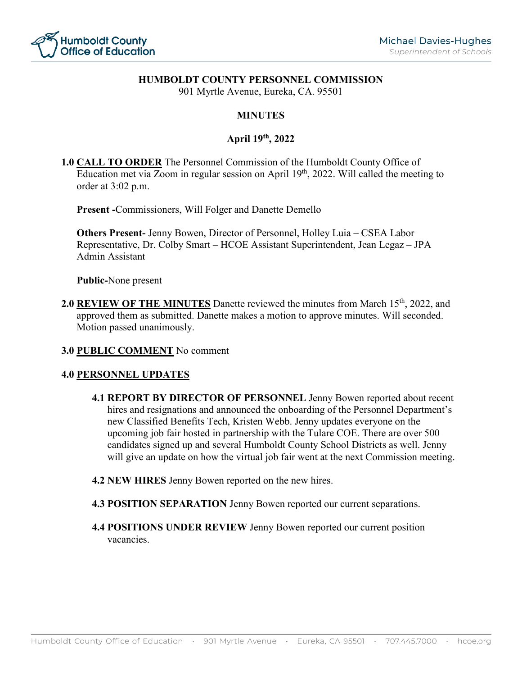

### **HUMBOLDT COUNTY PERSONNEL COMMISSION**

901 Myrtle Avenue, Eureka, CA. 95501

## **MINUTES**

## **April 19th, 2022**

**1.0 CALL TO ORDER** The Personnel Commission of the Humboldt County Office of Education met via Zoom in regular session on April 19<sup>th</sup>, 2022. Will called the meeting to order at 3:02 p.m.

**Present -**Commissioners, Will Folger and Danette Demello

**Others Present-** Jenny Bowen, Director of Personnel, Holley Luia – CSEA Labor Representative, Dr. Colby Smart – HCOE Assistant Superintendent, Jean Legaz – JPA Admin Assistant

**Public-**None present

2.0 **REVIEW OF THE MINUTES** Danette reviewed the minutes from March 15<sup>th</sup>, 2022, and approved them as submitted. Danette makes a motion to approve minutes. Will seconded. Motion passed unanimously.

#### **3.0 PUBLIC COMMENT** No comment

#### **4.0 PERSONNEL UPDATES**

- **4.1 REPORT BY DIRECTOR OF PERSONNEL** Jenny Bowen reported about recent hires and resignations and announced the onboarding of the Personnel Department's new Classified Benefits Tech, Kristen Webb. Jenny updates everyone on the upcoming job fair hosted in partnership with the Tulare COE. There are over 500 candidates signed up and several Humboldt County School Districts as well. Jenny will give an update on how the virtual job fair went at the next Commission meeting.
- **4.2 NEW HIRES** Jenny Bowen reported on the new hires.
- **4.3 POSITION SEPARATION** Jenny Bowen reported our current separations.
- **4.4 POSITIONS UNDER REVIEW** Jenny Bowen reported our current position vacancies.